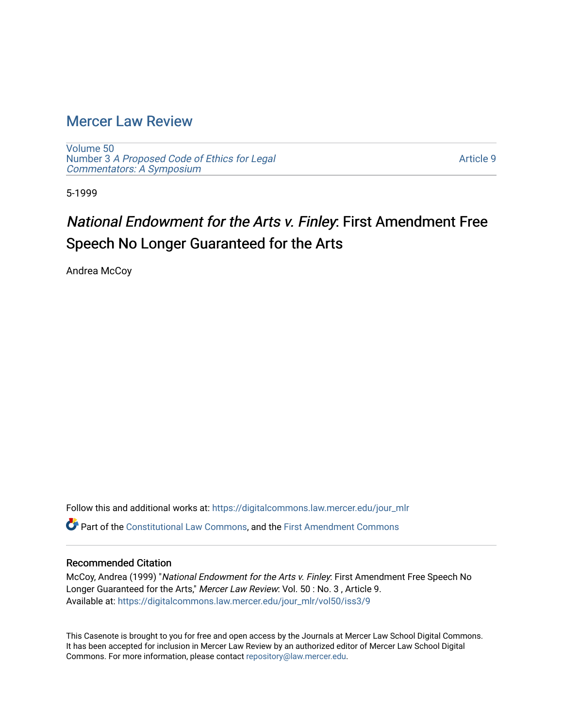## [Mercer Law Review](https://digitalcommons.law.mercer.edu/jour_mlr)

[Volume 50](https://digitalcommons.law.mercer.edu/jour_mlr/vol50) Number 3 [A Proposed Code of Ethics for Legal](https://digitalcommons.law.mercer.edu/jour_mlr/vol50/iss3) [Commentators: A Symposium](https://digitalcommons.law.mercer.edu/jour_mlr/vol50/iss3)

[Article 9](https://digitalcommons.law.mercer.edu/jour_mlr/vol50/iss3/9) 

5-1999

# National Endowment for the Arts v. Finley: First Amendment Free Speech No Longer Guaranteed for the Arts

Andrea McCoy

Follow this and additional works at: [https://digitalcommons.law.mercer.edu/jour\\_mlr](https://digitalcommons.law.mercer.edu/jour_mlr?utm_source=digitalcommons.law.mercer.edu%2Fjour_mlr%2Fvol50%2Fiss3%2F9&utm_medium=PDF&utm_campaign=PDFCoverPages) Part of the [Constitutional Law Commons,](http://network.bepress.com/hgg/discipline/589?utm_source=digitalcommons.law.mercer.edu%2Fjour_mlr%2Fvol50%2Fiss3%2F9&utm_medium=PDF&utm_campaign=PDFCoverPages) and the [First Amendment Commons](http://network.bepress.com/hgg/discipline/1115?utm_source=digitalcommons.law.mercer.edu%2Fjour_mlr%2Fvol50%2Fiss3%2F9&utm_medium=PDF&utm_campaign=PDFCoverPages)

### Recommended Citation

McCoy, Andrea (1999) "National Endowment for the Arts v. Finley: First Amendment Free Speech No Longer Guaranteed for the Arts," Mercer Law Review: Vol. 50 : No. 3 , Article 9. Available at: [https://digitalcommons.law.mercer.edu/jour\\_mlr/vol50/iss3/9](https://digitalcommons.law.mercer.edu/jour_mlr/vol50/iss3/9?utm_source=digitalcommons.law.mercer.edu%2Fjour_mlr%2Fvol50%2Fiss3%2F9&utm_medium=PDF&utm_campaign=PDFCoverPages)

This Casenote is brought to you for free and open access by the Journals at Mercer Law School Digital Commons. It has been accepted for inclusion in Mercer Law Review by an authorized editor of Mercer Law School Digital Commons. For more information, please contact [repository@law.mercer.edu.](mailto:repository@law.mercer.edu)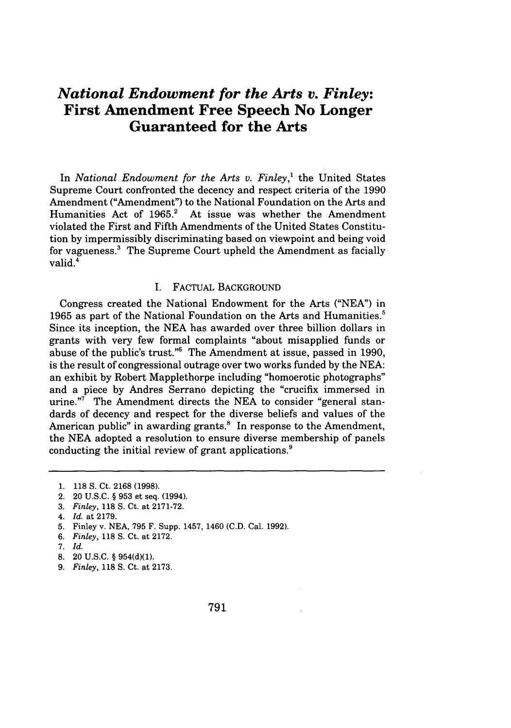## *National Endowment for the Arts v. Finley:* **First Amendment Free Speech No Longer Guaranteed for the Arts**

In *National Endowment for the Arts v. Finley*,<sup>1</sup> the United States Supreme Court confronted the decency and respect criteria of the **1990** Amendment ("Amendment") to the National Foundation on the Arts and<br>Humanities Act of 1965.<sup>2</sup> At issue was whether the Amendment At issue was whether the Amendment violated the First and Fifth Amendments of the United States Constitution **by** impermissibly discriminating based on viewpoint and being void for vagueness.3 The Supreme Court upheld the Amendment as facially valid.<sup>4</sup>

#### I. FACTUAL BACKGROUND

Congress created the National Endowment for the Arts ("NEA") in 1965 as part of the National Foundation on the Arts and Humanities.<sup>5</sup> Since its inception, the **NEA** has awarded over three billion dollars in grants with very few formal complaints "about misapplied funds or abuse of the public's trust."6 The Amendment at issue, passed in 1990, is the result of congressional outrage over two works funded by the NEA: an exhibit by Robert Mapplethorpe including "homoerotic photographs" and a piece by Andres Serrano depicting the "crucifix immersed in urine."7 The Amendment directs the **NEA** to consider "general standards of decency and respect for the diverse beliefs and values of the American public" in awarding grants.<sup>8</sup> In response to the Amendment, the **NEA** adopted a resolution to ensure diverse membership of panels conducting the initial review of grant applications.<sup>9</sup>

- 2. 20 U.S.C. § 953 et seq. (1994).
- 3. *Finley,* 118 S. Ct. at 2171-72.
- *4. Id.* at 2179.
- 5. Finley v. NEA, 795 F. Supp. 1457, 1460 (C.D. Cal. 1992).
- *6. Finley,* 118 S. Ct. at 2172.
- 7. *Id.*
- 8. 20 U.S.C. § 954(d)(1).
- 9. *Finley,* 118 S. Ct. at 2173.

<sup>1. 118</sup> **S.** Ct. 2168 (1998).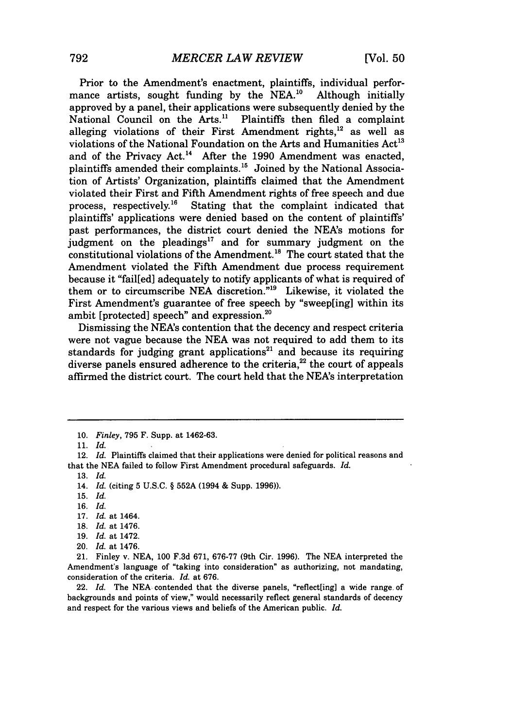Prior to the Amendment's enactment, plaintiffs, individual performance artists, sought funding by the NEA.<sup>10</sup> Although initially approved by a panel, their applications were subsequently denied by the National Council on the Arts.<sup>11</sup> Plaintiffs then filed a complaint alleging violations of their First Amendment rights, $^{12}$  as well as violations of the National Foundation on the Arts and Humanities  $Act^{13}$ and of the Privacy Act.<sup>14</sup> After the 1990 Amendment was enacted, plaintiffs amended their complaints.<sup>15</sup> Joined by the National Association of Artists' Organization, plaintiffs claimed that the Amendment violated their First and Fifth Amendment rights of free speech and due process, respectively.<sup>16</sup> Stating that the complaint indicated that Stating that the complaint indicated that plaintiffs' applications were denied based on the content of plaintiffs' past performances, the district court denied the NEA's motions for judgment on the pleadings<sup>17</sup> and for summary judgment on the constitutional violations of the Amendment.<sup>18</sup> The court stated that the Amendment violated the Fifth Amendment due process requirement because it "fail[edl adequately to notify applicants of what is required of them or to circumscribe NEA discretion."<sup>19</sup> Likewise, it violated the First Amendment's guarantee of free speech by "sweep[ing] within its ambit [protected] speech" and expression.<sup>26</sup>

Dismissing the NEA's contention that the decency and respect criteria were not vague because the NEA was not required to add them to its standards for judging grant applications<sup>21</sup> and because its requiring diverse panels ensured adherence to the criteria, $22$  the court of appeals affirmed the district court. The court held that the NEA's interpretation

- 17. *Id.* at 1464.
- 18. *Id.* at 1476.
- 19. *Id.* at 1472.
- 20. *Id.* at 1476.

22. *Id.* The **NEA** contended that the diverse panels, "reflect[ing] a wide range. of backgrounds and points of view," would necessarily reflect general standards of decency and respect for the various views and beliefs of the American public. *Id.*

<sup>10.</sup> *Finley,* 795 F. Supp. at 1462-63.

<sup>11.</sup> *Id.*

<sup>12.</sup> *Id.* Plaintiffs claimed that their applications were denied for political reasons and that the NEA failed to follow First Amendment procedural safeguards. *Id.*

<sup>13.</sup> *Id.*

<sup>14.</sup> *Id.* (citing 5 U.S.C. § 552A (1994 & Supp. 1996)).

**<sup>15.</sup>** *Id.*

<sup>16.</sup> *Id.*

<sup>21.</sup> Finley v. NEA, 100 **F.3d** 671, 676-77 (9th Cir. 1996). The NEA interpreted the Amendment's language of "taking into consideration" as authorizing, not mandating, consideration of the criteria. *Id.* at 676.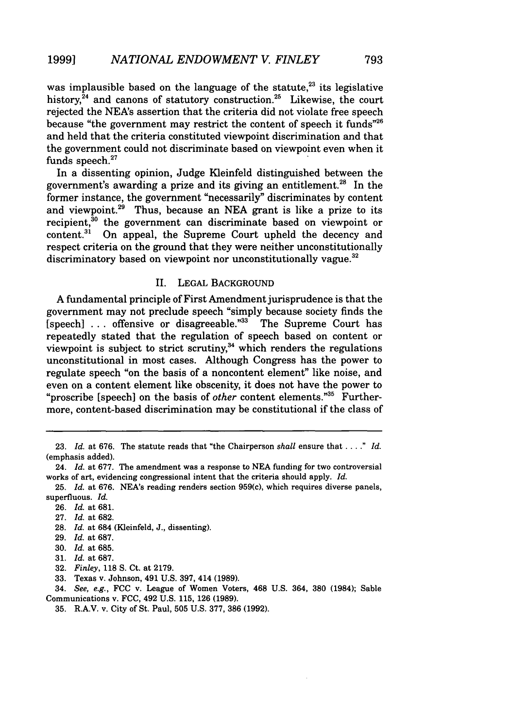was implausible based on the language of the statute, $23$  its legislative history, $24$  and canons of statutory construction. 25 Likewise, the court rejected the NEA's assertion that the criteria did not violate free speech because "the government may restrict the content of speech it funds"<sup>26</sup> and held that the criteria constituted viewpoint discrimination and that the government could not discriminate based on viewpoint even when it funds speech. $27$ 

In a dissenting opinion, Judge Kleinfeld distinguished between the government's awarding a prize and its giving an entitlement.<sup>28</sup> In the former instance, the government "necessarily" discriminates by content and viewpoint.<sup>29</sup> Thus, because an NEA grant is like a prize to its recipient, $30$  the government can discriminate based on viewpoint or content.<sup>31</sup> On appeal, the Supreme Court upheld the decency and respect criteria on the ground that they were neither unconstitutionally discriminatory based on viewpoint nor unconstitutionally vague.<sup>32</sup>

#### II. LEGAL BACKGROUND

A fundamental principle of First Amendment jurisprudence is that the government may not preclude speech "simply because society finds the [speech] ... offensive or disagreeable."<sup>33</sup> The Supreme Court has repeatedly stated that the regulation of speech based on content or viewpoint is subject to strict scrutiny, $34$  which renders the regulations unconstitutional in most cases. Although Congress has the power to regulate speech "on the basis of a noncontent element" like noise, and even on a content element like obscenity, it does not have the power to "proscribe [speech] on the basis of *other* content elements."3 " Furthermore, content-based discrimination may be constitutional if the class of

- 27. *Id.* at 682.
- 28. *Id.* at 684 (Kleinfeld, J., dissenting).
- 29. *Id.* at 687.
- 30. *Id.* at 685.
- 31. *Id.* at 687.
- 32. *Finley,* 118 S. Ct. at 2179.
- 33. Texas v. Johnson, 491 U.S. **397,** 414 **(1989).**

34. *See, e.g.,* FCC v. League of Women Voters, 468 U.S. 364, 380 (1984); Sable Communications v. FCC, 492 U.S. 115, 126 (1989).

35. R.A.V. v. City of St. Paul, 505 U.S. 377, 386 (1992).

<sup>23.</sup> *Id.* at 676. The statute reads that "the Chairperson *shall* ensure that.. . **."** *Id.* (emphasis added).

<sup>24.</sup> *Id.* at 677. The amendment was a response to NEA funding for two controversial works of art, evidencing congressional intent that the criteria should apply. *Id.*

<sup>25.</sup> *Id.* at 676. NEA's reading renders section 959(c), which requires diverse panels, superfluous. *Id.*

<sup>26.</sup> *Id.* at 681.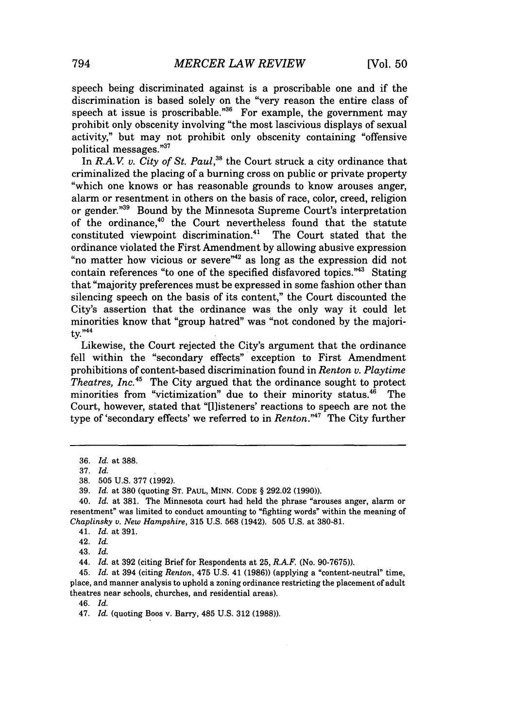speech being discriminated against is a proscribable one and if the discrimination is based solely on the "very reason the entire class of speech at issue is proscribable."<sup>36</sup> For example, the government may prohibit only obscenity involving "the most lascivious displays of sexual activity," but may not prohibit only obscenity containing "offensive political messages."37

In *R.A.V. v. City of St. Paul*,<sup>38</sup> the Court struck a city ordinance that criminalized the placing of a burning cross on public or private property "which one knows or has reasonable grounds to know arouses anger, alarm or resentment in others on the basis of race, color, creed, religion or gender."39 Bound by the Minnesota Supreme Court's interpretation of the ordinance,<sup>40</sup> the Court nevertheless found that the statute constituted viewpoint discrimination.<sup>41</sup> The Court stated that the ordinance violated the First Amendment by allowing abusive expression "no matter how vicious or severe"<sup>42</sup> as long as the expression did not contain references "to one of the specified disfavored topics."43 Stating that "majority preferences must be expressed in some fashion other than silencing speech on the basis of its content," the Court discounted the City's assertion that the ordinance was the only way it could let minorities know that "group hatred" was "not condoned by the majori $ty.$   $\frac{144}{15}$ 

Likewise, the Court rejected the City's argument that the ordinance fell within the "secondary effects" exception to First Amendment prohibitions of content-based discrimination found in *Renton v. Playtime Theatres, Inc.*<sup>45</sup> The City argued that the ordinance sought to protect minorities from "victimization" due to their minority status.46 The Court, however, stated that "[]isteners' reactions to speech are not the type of 'secondary effects' we referred to in *Renton."4'* The City further

46. *Id.*

<sup>36.</sup> *Id.* at 388.

<sup>37.</sup> *Id.*

**<sup>38.</sup>** 505 U.S. 377 (1992).

<sup>39.</sup> *Id.* at 380 (quoting ST. PAUL, MINN. CODE § 292.02 (1990)).

<sup>40.</sup> *Id.* at 381. The Minnesota court had held the phrase "arouses anger, alarm or resentment" was limited to conduct amounting to "fighting words" within the meaning of *Chaplinsky v. New Hampshire,* 315 U.S. 568 (1942). 505 U.S. at 380-81.

<sup>41.</sup> *Id.* at 391.

<sup>42.</sup> *Id.*

<sup>43.</sup> *Id.*

<sup>44.</sup> *Id.* at 392 (citing Brief for Respondents at 25, *R.A.F.* (No. 90-7675)).

<sup>45.</sup> *Id.* at 394 (citing *Renton,* 475 U.S. 41 (1986)) (applying a "content-neutral" time, place, and manner analysis to uphold a zoning ordinance restricting the placement of adult theatres near schools, churches, and residential areas).

<sup>47.</sup> *Id.* (quoting Boos v. Barry, 485 U.S. 312 (1988)).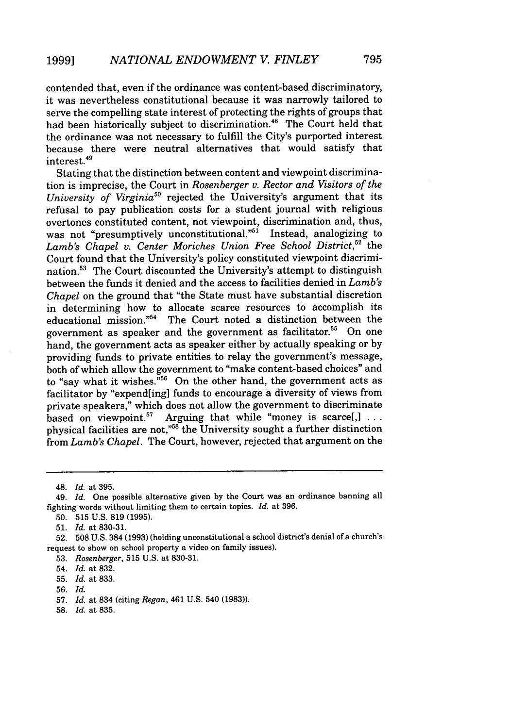contended that, even if the ordinance was content-based discriminatory, it was nevertheless constitutional because it was narrowly tailored to serve the compelling state interest of protecting the rights of groups that had been historically subject to discrimination.<sup>48</sup> The Court held that the ordinance was not necessary to fulfill the City's purported interest because there were neutral alternatives that would satisfy that interest.<sup>49</sup>

Stating that the distinction between content and viewpoint discrimination is imprecise, the Court in *Rosenberger v. Rector and Visitors of the University of Virginia5'* rejected the University's argument that its refusal to pay publication costs for a student journal with religious overtones constituted content, not viewpoint, discrimination and, thus, was not "presumptively unconstitutional."<sup>51</sup> Instead, analogizing to *Lamb's Chapel v. Center Moriches Union Free School District,52* the Court found that the University's policy constituted viewpoint discrimination.53 The Court discounted the University's attempt to distinguish between the funds it denied and the access to facilities denied in *Lamb's Chapel* on the ground that "the State must have substantial discretion in determining how to allocate scarce resources to accomplish its educational mission."54 The Court noted a distinction between the government as speaker and the government as facilitator.<sup>55</sup> On one hand, the government acts as speaker either by actually speaking or by providing funds to private entities to relay the government's message, both of which allow the government to "make content-based choices" and to "say what it wishes."<sup>56</sup> On the other hand, the government acts as facilitator by "expend[ing] funds to encourage a diversity of views from private speakers," which does not allow the government to discriminate based on viewpoint.57 Arguing that while "money is scarce[,] **...** physical facilities are not,"<sup>58</sup> the University sought a further distinction from *Lamb's Chapel.* The Court, however, rejected that argument on the

<sup>48.</sup> *Id.* at 395.

<sup>49.</sup> *Id.* One possible alternative given by the Court was an ordinance banning all fighting words without limiting them to certain topics. *Id.* at 396.

<sup>50. 515</sup> U.S. 819 (1995).

<sup>51.</sup> *Id.* at 830-31.

<sup>52. 508</sup> U.S. 384 (1993) (holding unconstitutional a school district's denial of a church's request to show on school property a video on family issues).

<sup>53.</sup> *Rosenberger,* 515 U.S. at 830-31.

<sup>54.</sup> *Id.* at 832.

<sup>55.</sup> *Id.* at 833.

<sup>56.</sup> *Id.*

<sup>57.</sup> *Id.* at 834 (citing *Regan,* 461 U.S. 540 (1983)).

<sup>58.</sup> *Id.* at 835.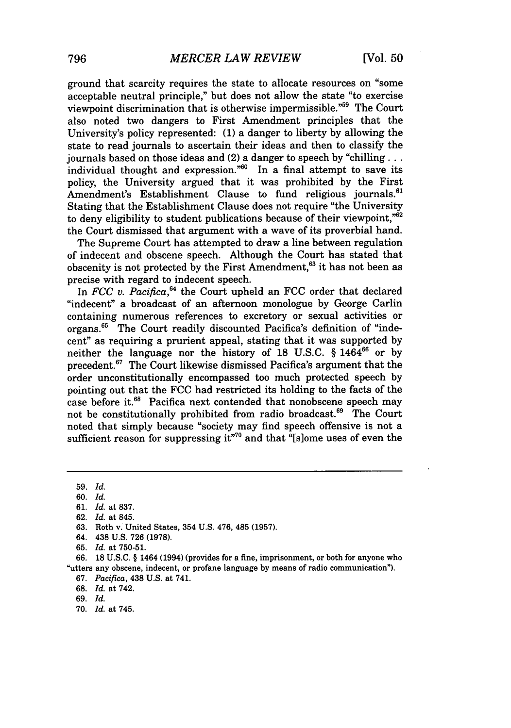ground that scarcity requires the state to allocate resources on "some acceptable neutral principle," but does not allow the state "to exercise viewpoint discrimination that is otherwise impermissible."<sup>59</sup> The Court also noted two dangers to First Amendment principles that the University's policy represented: (1) a danger to liberty by allowing the state to read journals to ascertain their ideas and then to classify the journals based on those ideas and  $(2)$  a danger to speech by "chilling... individual thought and expression. $^{60}$  In a final attempt to save its policy, the University argued that it was prohibited by the First Amendment's Establishment Clause to fund religious journals.<sup>61</sup> Stating that the Establishment Clause does not require "the University to deny eligibility to student publications because of their viewpoint," $62$ the Court dismissed that argument with a wave of its proverbial hand.

The Supreme Court has attempted to draw a line between regulation of indecent and obscene speech. Although the Court has stated that obscenity is not protected by the First Amendment,<sup>63</sup> it has not been as precise with regard to indecent speech.

In *FCC v. Pacifica*,<sup>64</sup> the Court upheld an FCC order that declared "indecent" a broadcast of an afternoon monologue by George Carlin containing numerous references to excretory or sexual activities or organs.<sup>65</sup> The Court readily discounted Pacifica's definition of "indecent" as requiring a prurient appeal, stating that it was supported by neither the language nor the history of 18 U.S.C.  $\S 1464^{66}$  or by precedent.<sup>67</sup> The Court likewise dismissed Pacifica's argument that the order unconstitutionally encompassed too much protected speech by pointing out that the FCC had restricted its holding to the facts of the case before it.<sup>68</sup> Pacifica next contended that nonobscene speech may not be constitutionally prohibited from radio broadcast.<sup>69</sup> The Court noted that simply because "society may find speech offensive is not a sufficient reason for suppressing it"<sup>70</sup> and that "[s]ome uses of even the

**59.** *Id.*

69. Id.

70. *Id.* at 745.

<sup>60.</sup> Id.

<sup>61.</sup> *Id.* at 837.

<sup>62.</sup> *Id.* at 845.

<sup>63.</sup> Roth v. United States, 354 U.S. 476, 485 (1957).

<sup>64. 438</sup> U.S. 726 (1978).

<sup>65.</sup> *Id.* at 750-51.

<sup>66. 18</sup> U.S.C. § 1464 (1994) (provides for a fine, imprisonment, or both for anyone who "utters any obscene, indecent, or profane language by means of radio communication").

<sup>67.</sup> *Pacifica,* 438 U.S. at 741.

<sup>68.</sup> *Id.* at 742.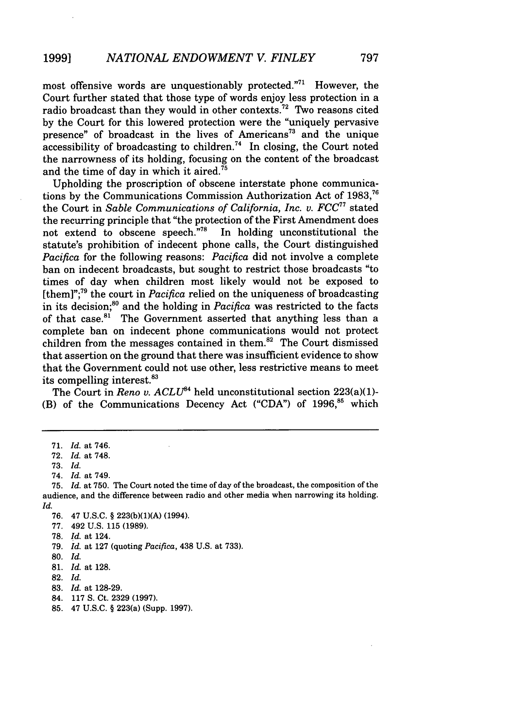most offensive words are unquestionably protected."<sup>71</sup> However, the Court further stated that those type of words enjoy less protection in a radio broadcast than they would in other contexts.<sup>72</sup> Two reasons cited by the Court for this lowered protection were the "uniquely pervasive presence" of broadcast in the lives of Americans<sup>73</sup> and the unique  $\alpha$  accessibility of broadcasting to children.<sup>74</sup> In closing, the Court noted the narrowness of its holding, focusing on the content of the broadcast and the time of day in which it aired.<sup>75</sup>

Upholding the proscription of obscene interstate phone communications by the Communications Commission Authorization Act of 1983,<sup>76</sup> the Court in *Sable Communications of California, Inc. v.*  $FCC^{77}$  stated the recurring principle that "the protection of the First Amendment does not extend to obscene speech. $n^{78}$  In holding unconstitutional the statute's prohibition of indecent phone calls, the Court distinguished *Pacifica* for the following reasons: *Pacifica* did not involve a complete ban on indecent broadcasts, but sought to restrict those broadcasts "to times of day when children most likely would not be exposed to [them]";79 the court in *Pacifica* relied on the uniqueness of broadcasting in its decision;<sup>80</sup> and the holding in *Pacifica* was restricted to the facts of that case.<sup>81</sup> The Government asserted that anything less than a complete ban on indecent phone communications would not protect children from the messages contained in them.<sup>82</sup> The Court dismissed that assertion on the ground that there was insufficient evidence to show that the Government could not use other, less restrictive means to meet its compelling interest.83

The Court in *Reno v. ACLU*<sup>84</sup> held unconstitutional section 223(a)(1)-(B) of the Communications Decency Act ("CDA") of 1996,<sup>85</sup> which

84. **117 S.** Ct. **2329 (1997).**

<sup>71.</sup> *Id.* at 746.

<sup>72.</sup> *Id.* at 748.

<sup>73.</sup> *Id.*

<sup>74.</sup> *Id.* at 749.

<sup>75.</sup> *Id.* at 750. The Court noted the time of day of the broadcast, the composition of the audience, and the difference between radio and other media when narrowing its holding. *Id.*

<sup>76. 47</sup> U.S.C. § 223(b)(1)(A) (1994).

<sup>77. 492</sup> U.S. 115 (1989).

<sup>78.</sup> *Id.* at 124.

<sup>79.</sup> *Id.* at 127 (quoting *Pacifica,* 438 U.S. at **733).**

**<sup>80.</sup>** *Id.*

<sup>81.</sup> *Id.* at 128.

**<sup>82.</sup>** *Id.*

**<sup>83.</sup>** *Id.* at **128-29.**

**<sup>85.</sup>** 47 **U.S.C.** § 223(a) (Supp. **1997).**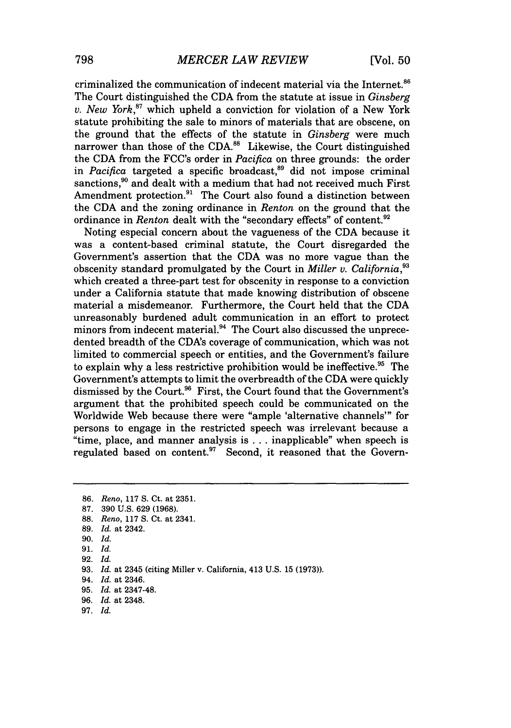criminalized the communication of indecent material via the Internet.<sup>86</sup> The Court distinguished the CDA from the statute at issue in *Ginsberg v. New York,87* which upheld a conviction for violation of a New York statute prohibiting the sale to minors of materials that are obscene, on the ground that the effects of the statute in *Ginsberg* were much narrower than those of the CDA.<sup>88</sup> Likewise, the Court distinguished the CDA from the FCC's order in *Pacifica* on three grounds: the order in *Pacifica* targeted a specific broadcast, 89 did not impose criminal sanctions.<sup>90</sup> and dealt with a medium that had not received much First Amendment protection.<sup>91</sup> The Court also found a distinction between the CDA and the zoning ordinance in *Renton* on the ground that the ordinance in *Renton* dealt with the "secondary effects" of content.<sup>92</sup>

Noting especial concern about the vagueness of the CDA because it was a content-based criminal statute, the Court disregarded the Government's assertion that the CDA was no more vague than the obscenity standard promulgated by the Court in *Miller v. California,93* which created a three-part test for obscenity in response to a conviction under a California statute that made knowing distribution of obscene material a misdemeanor. Furthermore, the Court held that the CDA unreasonably burdened adult communication in an effort to protect minors from indecent material.<sup>94</sup> The Court also discussed the unprecedented breadth of the CDA's coverage of communication, which was not limited to commercial speech or entities, and the Government's failure to explain why a less restrictive prohibition would be ineffective.<sup>95</sup> The Government's attempts to limit the overbreadth of the CDA were quickly dismissed by the Court.<sup>96</sup> First, the Court found that the Government's argument that the prohibited speech could be communicated on the Worldwide Web because there were "ample 'alternative channels"' for persons to engage in the restricted speech was irrelevant because a "time, place, and manner analysis is ... inapplicable" when speech is regulated based on content.<sup>97</sup> Second, it reasoned that the Govern-

<sup>86.</sup> *Reno,* **117** S. Ct. at 2351. 87. 390 U.S. 629 (1968). **88.** *Reno,* 117 S. Ct. at 2341. 89. *Id.* at 2342. 90. *Id.* 91. *Id.* 92. *Id.* 93. *Id.* at 2345 (citing Miller v. California, 413 U.S. 15 (1973)). 94. *Id.* at 2346. 95. *Id.* at 2347-48. 96. *Id.* at 2348. 97. *Id.*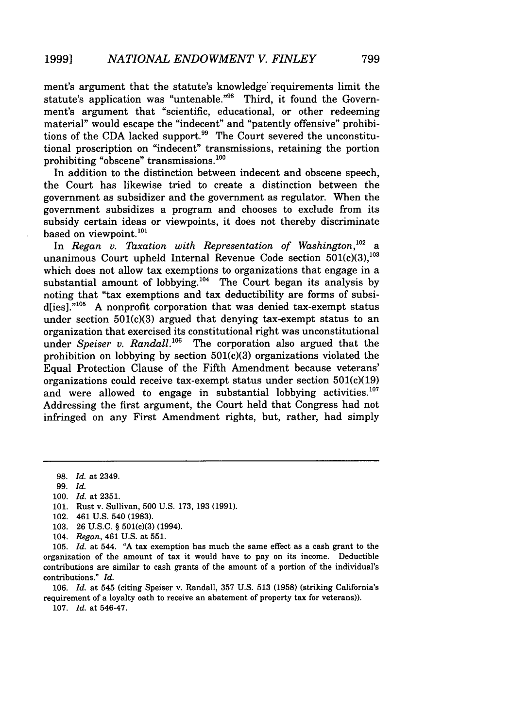ment's argument that the statute's knowledge requirements limit the statute's application was "untenable."<sup>98</sup> Third, it found the Government's argument that "scientific, educational, or other redeeming material" would escape the "indecent" and "patently offensive" prohibitions of the CDA lacked support.<sup>99</sup> The Court severed the unconstitutional proscription on "indecent" transmissions, retaining the portion prohibiting "obscene" transmissions.<sup>100</sup>

In addition to the distinction between indecent and obscene speech, the Court has likewise tried to create a distinction between the government as subsidizer and the government as regulator. When the government subsidizes a program and chooses to exclude from its subsidy certain ideas or viewpoints, it does not thereby discriminate based on viewpoint.<sup>101</sup>

In *Regan v. Taxation with Representation of Washington*,<sup>102</sup> a unanimous Court upheld Internal Revenue Code section  $501(c)(3)$ ,  $^{103}$ which does not allow tax exemptions to organizations that engage in a substantial amount of lobbying.<sup>104</sup> The Court began its analysis by noting that "tax exemptions and tax deductibility are forms of subsidlies]." $105$  A nonprofit corporation that was denied tax-exempt status under section  $501(c)(3)$  argued that denying tax-exempt status to an organization that exercised its constitutional right was unconstitutional under *Speiser v. Randall."°6* The corporation also argued that the prohibition on lobbying by section  $501(c)(3)$  organizations violated the Equal Protection Clause of the Fifth Amendment because veterans' organizations could receive tax-exempt status under section 501(c)(19) and were allowed to engage in substantial lobbying activities. $107$ Addressing the first argument, the Court held that Congress had not infringed on any First Amendment rights, but, rather, had simply

- 100. *Id.* at 2351.
- 101. Rust v. Sullivan, 500 U.S. 173, 193 (1991).
- 102. 461 U.S. 540 (1983).
- 103. 26 U.S.C. § 501(c)(3) (1994).
- 104. *Regan,* 461 U.S. at 551.

105. *Id.* at 544. "A tax exemption has much the same effect as a cash grant to the organization of the amount of tax it would have to pay on its income. Deductible contributions are similar to cash grants of the amount of a portion of the individual's contributions." *Id.*

106. *Id.* at 545 (citing Speiser v. Randall, 357 U.S. 513 (1958) (striking California's requirement of a loyalty oath to receive an abatement of property tax for veterans)).

107. *Id.* at 546-47.

<sup>98.</sup> *Id.* at 2349.

<sup>99.</sup> *Id.*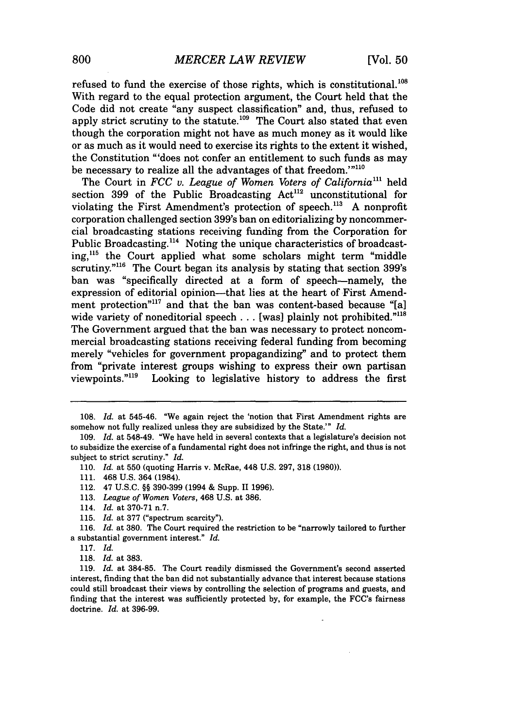refused to fund the exercise of those rights, which is constitutional. $^{108}$ With regard to the equal protection argument, the Court held that the Code did not create "any suspect classification" and, thus, refused to apply strict scrutiny to the statute.<sup>109</sup> The Court also stated that even though the corporation might not have as much money as it would like or as much as it would need to exercise its rights to the extent it wished, the Constitution "'does not confer an entitlement to such funds as may be necessary to realize all the advantages of that freedom.'"<sup>110</sup>

The Court in *FCC v. League of Women Voters of California*<sup>111</sup> held section 399 of the Public Broadcasting Act<sup>112</sup> unconstitutional for violating the First Amendment's protection of speech.<sup>113</sup> A nonprofit corporation challenged section 399's ban on editorializing by noncommercial broadcasting stations receiving funding from the Corporation for Public Broadcasting.<sup>114</sup> Noting the unique characteristics of broadcasting,<sup>115</sup> the Court applied what some scholars might term "middle scrutiny."<sup>116</sup> The Court began its analysis by stating that section 399's ban was "specifically directed at a form of speech-namely, the expression of editorial opinion-that lies at the heart of First Amendment protection"<sup>117</sup> and that the ban was content-based because "[a] wide variety of noneditorial speech... [was] plainly not prohibited." $118$ The Government argued that the ban was necessary to protect noncommercial broadcasting stations receiving federal funding from becoming merely "vehicles for government propagandizing" and to protect them from "private interest groups wishing to express their own partisan<br>viewpoints."<sup>119</sup> Looking to legislative history to address the first Looking to legislative history to address the first

111. 468 U.S. 364 (1984).

113. *League of Women Voters,* 468 U.S. at 386.

114. *Id.* at 370-71 n.7.

<sup>108.</sup> *Id.* at 545-46. **"We** again reject the 'notion that First Amendment rights are somehow not fully realized unless they are subsidized by the State.'" *Id.*

<sup>109.</sup> *Id.* at 548-49. "We have held in several contexts that a legislature's decision not to subsidize the exercise of a fundamental right does not infringe the right, and thus is not subject to strict scrutiny." *Id.*

<sup>110.</sup> *Id.* at 550 (quoting Harris v. McRae, 448 U.S. 297, 318 (1980)).

<sup>112. 47</sup> U.S.C. §§ 390-399 (1994 & Supp. II 1996).

<sup>115.</sup> *Id.* at 377 ("spectrum scarcity").

<sup>116.</sup> *Id.* at 380. The Court required the restriction to be "narrowly tailored to further a substantial government interest." *Id.*

<sup>117.</sup> *Id.*

<sup>118.</sup> *Id.* at 383.

<sup>119.</sup> *Id.* at 384-85. The Court readily dismissed the Government's second asserted interest, finding that the ban did not substantially advance that interest because stations could still broadcast their views by controlling the selection of programs and guests, and finding that the interest was sufficiently protected by, for example, the FCC's fairness doctrine. *Id.* at 396-99.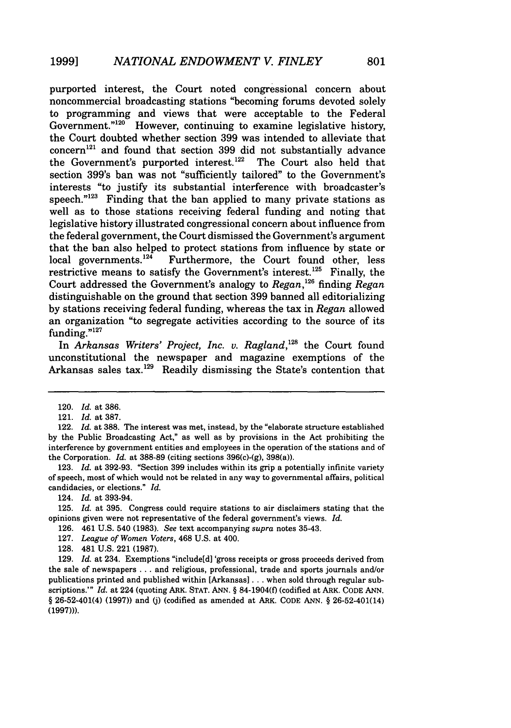purported interest, the Court noted congressional concern about noncommercial broadcasting stations "becoming forums devoted solely to programming and views that were acceptable to the Federal Government." $120$  However, continuing to examine legislative history, the Court doubted whether section **399** was intended to alleviate that concern<sup>121</sup> and found that section 399 did not substantially advance the Government's purported interest.<sup>122</sup> The Court also held that section 399's ban was not "sufficiently tailored" to the Government's interests "to justify its substantial interference with broadcaster's speech. $"^{123}$  Finding that the ban applied to many private stations as well as to those stations receiving federal funding and noting that legislative history illustrated congressional concern about influence from the federal government, the Court dismissed the Government's argument that the ban also helped to protect stations from influence by state or local governments.<sup>124</sup> Furthermore, the Court found other. less Furthermore, the Court found other, less restrictive means to satisfy the Government's interest.<sup>125</sup> Finally, the Court addressed the Government's analogy to *Regan*,<sup>126</sup> finding *Regan* distinguishable on the ground that section **399** banned all editorializing **by** stations receiving federal funding, whereas the tax in *Regan* allowed an organization "to segregate activities according to the source of its funding. $"127$ 

In *Arkansas Writers' Project, Inc. v. Ragland,12s* the Court found unconstitutional the newspaper and magazine exemptions of the Arkansas sales **tax.129** Readily dismissing the State's contention that

122. *Id.* at **388.** The interest was met, instead, **by** the "elaborate structure established **by** the Public Broadcasting Act," as well as **by** provisions in the Act prohibiting the interference **by** government entities and employees in the operation of the stations and of the Corporation. *Id.* at **388-89** (citing sections 396(c)-(g), 398(a)).

**123.** *Id.* at **392-93.** "Section **399** includes within its grip a potentially infinite variety of speech, most of which would not be related in any way to governmental affairs, political candidacies, or elections." *Id.*

124. *Id.* at 393-94.

**125.** *Id.* at **395.** Congress could require stations to air disclaimers stating that the opinions given were not representative of the federal government's views. *Id.*

**126.** 461 **U.S.** 540 **(1983).** *See* text accompanying *supra* notes 35-43.

- **127.** *League of Women Voters,* 468 **U.S.** at 400.
- **128.** 481 **U.S.** 221 **(1987).**

**129.** *Id.* at 234. Exemptions "include[d] 'gross receipts or gross proceeds derived from the sale of newspapers **. ..** and religious, professional, trade and sports journals and/or publications printed and published within [Arkansas] **...** when sold through regular subscriptions.'" *Id.* at 224 (quoting **ARK. STAT. ANN. §** 84-1904(f) (codified at ARK. **CODE ANN. §** 26-52-401(4) **(1997))** and **(j)** (codified as amended at ARK. **CODE ANN. §** 26-52-401(14) **(1997))).**

<sup>120.</sup> *Id.* at **386.**

<sup>121.</sup> *Id.* at **387.**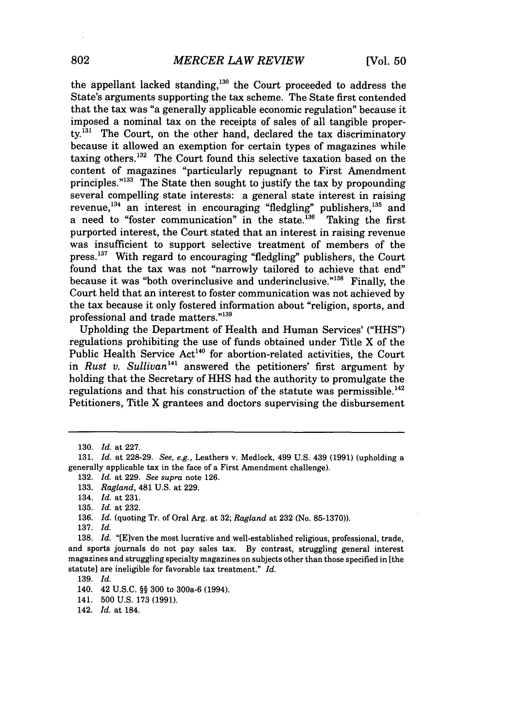the appellant lacked standing,  $130$  the Court proceeded to address the State's arguments supporting the tax scheme. The State first contended that the tax was "a generally applicable economic regulation" because it imposed a nominal tax on the receipts of sales of all tangible property. $^{131}$  The Court, on the other hand, declared the tax discriminatory because it allowed an exemption for certain types of magazines while taxing others. $132$  The Court found this selective taxation based on the content of magazines "particularly repugnant to First Amendment principles."<sup>133</sup> The State then sought to justify the tax by propounding several compelling state interests: a general state interest in raising revenue,<sup>134</sup> an interest in encouraging "fledgling" publishers,<sup>135</sup> and a need to "foster communication" in the state.<sup>136</sup> Taking the first purported interest, the Court stated that an interest in raising revenue was insufficient to support selective treatment of members of the press.<sup>137</sup> With regard to encouraging "fledgling" publishers, the Court found that the tax was not "narrowly tailored to achieve that end" because it was "both overinclusive and underinclusive."<sup>138</sup> Finally, the Court held that an interest to foster communication was not achieved by the tax because it only fostered information about "religion, sports, and professional and trade matters."139

Upholding the Department of Health and Human Services' ("HHS") regulations prohibiting the use of funds obtained under Title X of the Public Health Service Act<sup>140</sup> for abortion-related activities, the Court in *Rust v. Sullivan*<sup>141</sup> answered the petitioners' first argument by holding that the Secretary of HHS had the authority to promulgate the regulations and that his construction of the statute was permissible. $^{142}$ Petitioners, Title X grantees and doctors supervising the disbursement

- 132. *Id.* at 229. *See supra* note 126.
- 133. *Ragland,* 481 U.S. at 229.

137. *Id.*

139. *Id.*

<sup>130.</sup> *Id.* at 227.

<sup>131.</sup> *Id.* at 228-29. *See, e.g.,* Leathers v. Medlock, 499 U.S. 439 (1991) (upholding a generally applicable tax in the face of a First Amendment challenge).

<sup>134.</sup> *Id.* at 231.

<sup>135.</sup> *Id.* at 232.

<sup>136.</sup> *Id.* (quoting Tr. of Oral Arg. at 32; *Ragland* at 232 (No. 85-1370)).

<sup>138.</sup> *Id.* "[Elven the most lucrative and well-established religious, professional, trade, and sports journals do not pay sales tax. By contrast, struggling general interest magazines and struggling specialty magazines on subjects other than those specified in [the statute] are ineligible for favorable tax treatment." *Id.*

<sup>140. 42</sup> U.S.C. §§ 300 to 300a-6 (1994).

<sup>141. 500</sup> U.S. 173 (1991).

<sup>142.</sup> *Id.* at 184.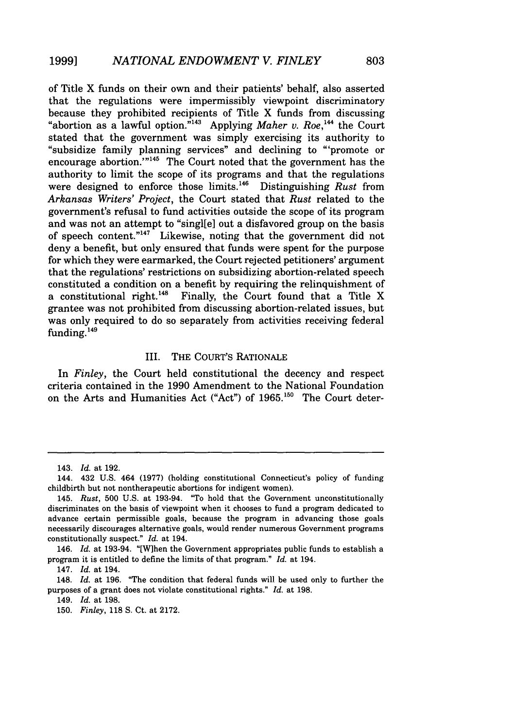of Title X funds on their own and their patients' behalf, also asserted that the regulations were impermissibly viewpoint discriminatory<br>because they prohibited recipients of Title X funds from discussing "abortion as a lawful option."<sup>143</sup> Applying *Maher v. Roe*,<sup>144</sup> the Court stated that the government was simply exercising its authority to "subsidize family planning services" and declining to "'promote or encourage abortion." $145$  The Court noted that the government has the authority to limit the scope of its programs and that the regulations were designed to enforce those limits. 46 Distinguishing *Rust* from *Arkansas Writers' Project,* the Court stated that *Rust* related to the government's refusal to fund activities outside the scope of its program and was not an attempt to "singl[e] out a disfavored group on the basis of speech content."<sup>147</sup> Likewise, noting that the government did not deny a benefit, but only ensured that funds were spent for the purpose for which they were earmarked, the Court rejected petitioners' argument that the regulations' restrictions on subsidizing abortion-related speech constituted a condition on a benefit by requiring the relinquishment of a constitutional right.148 Finally, the Court found that a Title X grantee was not prohibited from discussing abortion-related issues, but was only required to do so separately from activities receiving federal funding. **149**

#### III. THE COURT'S RATIONALE

In *Finley,* the Court held constitutional the decency and respect criteria contained in the 1990 Amendment to the National Foundation on the Arts and Humanities Act ("Act") of 1965.<sup>150</sup> The Court deter-

<sup>143.</sup> *Id.* at 192.

<sup>144. 432</sup> U.S. 464 (1977) (holding constitutional Connecticut's policy of funding childbirth but not nontherapeutic abortions for indigent women).

<sup>145.</sup> *Rust,* 500 U.S. at 193-94. "To hold that the Government unconstitutionally discriminates on the basis of viewpoint when it chooses to fund a program dedicated to advance certain permissible goals, because the program in advancing those goals necessarily discourages alternative goals, would render numerous Government programs constitutionally suspect." *Id.* at 194.

<sup>146.</sup> *Id.* at 193-94. "[When the Government appropriates public funds to establish a program it is entitled to define the limits of that program." *Id.* at 194.

<sup>147.</sup> *Id.* at 194.

<sup>148.</sup> *Id.* at 196. "The condition that federal funds will be used only to further the purposes of a grant does not violate constitutional rights." *Id.* at 198.

<sup>149.</sup> *Id.* at 198.

<sup>150.</sup> *Finley,* 118 S. Ct. at 2172.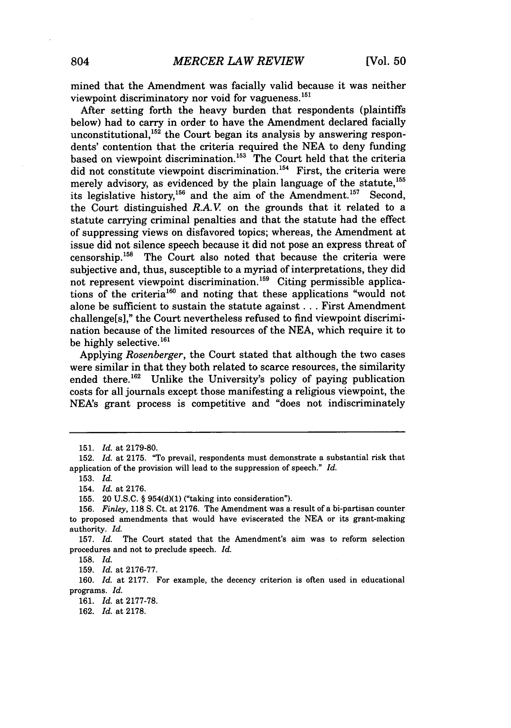mined that the Amendment was facially valid because it was neither viewpoint discriminatory nor void for vagueness. <sup>151</sup>

After setting forth the heavy burden that respondents (plaintiffs below) had to carry in order to have the Amendment declared facially unconstitutional, $^{152}$  the Court began its analysis by answering respondents' contention that the criteria required the NEA to deny funding based on viewpoint discrimination.<sup>153</sup> The Court held that the criteria did not constitute viewpoint discrimination.<sup>154</sup> First, the criteria were merely advisory, as evidenced by the plain language of the statute, 155 its legislative history,<sup>156</sup> and the aim of the Amendment.<sup>157</sup> Second, the Court distinguished *R.A.V* on the grounds that it related to a statute carrying criminal penalties and that the statute had the effect of suppressing views on disfavored topics; whereas, the Amendment at issue did not silence speech because it did not pose an express threat of censorship.<sup>158</sup> The Court also noted that because the criteria were subjective and, thus, susceptible to a myriad of interpretations, they did not represent viewpoint discrimination.<sup>159</sup> Citing permissible applications of the criteria<sup>160</sup> and noting that these applications "would not alone be sufficient to sustain the statute against ... First Amendment challenge[s]," the Court nevertheless refused to find viewpoint discrimination because of the limited resources of the NEA, which require it to be highly selective.<sup>161</sup>

Applying *Rosenberger,* the Court stated that although the two cases were similar in that they both related to scarce resources, the similarity ended there.<sup>162</sup> Unlike the University's policy of paying publication costs for all journals except those manifesting a religious viewpoint, the NEA's grant process is competitive and "does not indiscriminately

153. *Id.*

155. 20 U.S.C. § 954(d)(1) ("taking into consideration").

158. *Id.*

159. *Id.* at 2176-77.

160. *Id.* at 2177. For example, the decency criterion is often used in educational programs. *Id.*

161. *Id.* at 2177-78.

162. *Id.* at 2178.

<sup>151.</sup> *Id.* at 2179-80.

<sup>152.</sup> *Id.* at 2175. "To prevail, respondents must demonstrate a substantial risk that application of the provision will lead to the suppression of speech." *Id.*

<sup>154.</sup> *Id.* at 2176.

<sup>156.</sup> *Finley,* 118 S. Ct. at 2176. The Amendment was a result of a bi-partisan counter to proposed amendments that would have eviscerated the NEA or its grant-making authority. *Id.*

<sup>157.</sup> *Id.* The Court stated that the Amendment's aim was to reform selection procedures and not to preclude speech. *Id.*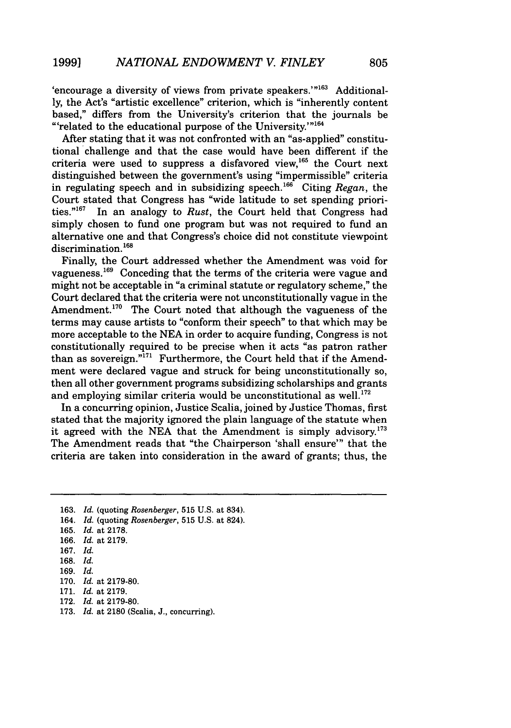'encourage a diversity of views from private speakers.' $n_{163}$  Additionally, the Act's "artistic excellence" criterion, which is "inherently content based," differs from the University's criterion that the journals be "'related to the educational purpose of the University. $164$ 

After stating that it was not confronted with an "as-applied" constitutional challenge and that the case would have been different if the criteria were used to suppress a disfavored view,<sup>165</sup> the Court next distinguished between the government's using "impermissible" criteria in regulating speech and in subsidizing speech.<sup>166</sup> Citing *Regan*, the Court stated that Congress has "wide latitude to set spending priorities."<sup>167</sup> In an analogy to *Rust*, the Court held that Congress had In an analogy to *Rust*, the Court held that Congress had simply chosen to fund one program but was not required to fund an alternative one and that Congress's choice did not constitute viewpoint discrimination.<sup>168</sup>

Finally, the Court addressed whether the Amendment was void for vagueness.<sup>169</sup> Conceding that the terms of the criteria were vague and might not be acceptable in "a criminal statute or regulatory scheme," the Court declared that the criteria were not unconstitutionally vague in the Amendment.<sup>170</sup> The Court noted that although the vagueness of the terms may cause artists to "conform their speech" to that which may be more acceptable to the NEA in order to acquire funding, Congress is not constitutionally required to be precise when it acts "as patron rather than as sovereign."<sup>171</sup> Furthermore, the Court held that if the Amendment were declared vague and struck for being unconstitutionally so, then all other government programs subsidizing scholarships and grants and employing similar criteria would be unconstitutional as well. $^{172}$ 

In a concurring opinion, Justice Scalia, joined by Justice Thomas, first stated that the majority ignored the plain language of the statute when it agreed with the NEA that the Amendment is simply advisory.<sup>173</sup> The Amendment reads that "the Chairperson 'shall ensure"' that the criteria are taken into consideration in the award of grants; thus, the

- 163. *Id.* (quoting *Rosenberger,* 515 U.S. at 834).
- 164. *Id.* (quoting *Rosenberger,* 515 U.S. at 824).
- 165. *Id.* at 2178.
- 166. *Id.* at 2179.
- 167. *Id.*
- 168. *Id.*
- 169. *Id.*
- 170. *Id.* at 2179-80.
- 171. *Id.* at 2179.
- 172. *Id.* at 2179-80.
- 173. *Id.* at 2180 (Scalia, J., concurring).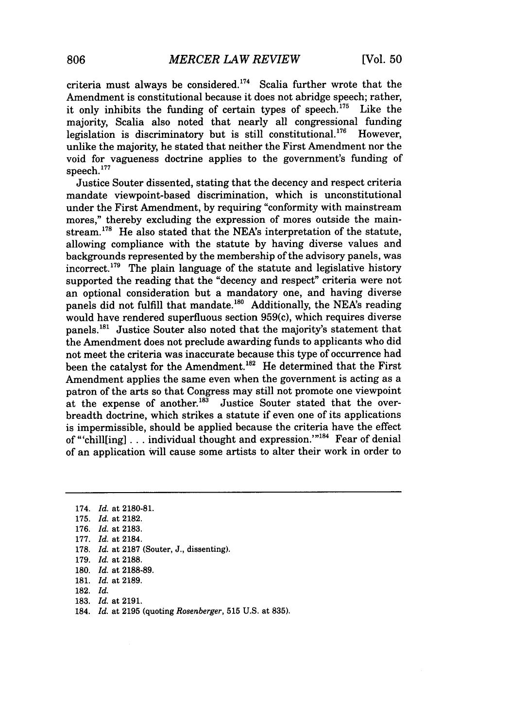criteria must always be considered.<sup>174</sup> Scalia further wrote that the Amendment is constitutional because it does not abridge speech; rather, it only inhibits the funding of certain types of speech.<sup>175</sup> Like the majority, Scalia also noted that nearly all congressional funding<br>legislation is discriminatory but is still constitutional <sup>176</sup> However. legislation is discriminatory but is still constitutional.<sup>176</sup> unlike the majority, he stated that neither the First Amendment nor the void for vagueness doctrine applies to the government's funding of speech. **<sup>171</sup>**

Justice Souter dissented, stating that the decency and respect criteria mandate viewpoint-based discrimination, which is unconstitutional under the First Amendment, by requiring "conformity with mainstream mores," thereby excluding the expression of mores outside the mainstream.<sup>178</sup> He also stated that the NEA's interpretation of the statute, allowing compliance with the statute by having diverse values and backgrounds represented by the membership of the advisory panels, was incorrect.<sup>179</sup> The plain language of the statute and legislative history supported the reading that the "decency and respect" criteria were not an optional consideration but a mandatory one, and having diverse panels did not fulfill that mandate.<sup>180</sup> Additionally, the NEA's reading would have rendered superfluous section 959(c), which requires diverse panels.<sup>181</sup> Justice Souter also noted that the majority's statement that the Amendment does not preclude awarding funds to applicants who did not meet the criteria was inaccurate because this type of occurrence had been the catalyst for the Amendment.<sup>182</sup> He determined that the First Amendment applies the same even when the government is acting as a patron of the arts so that Congress may still not promote one viewpoint at the expense of another.<sup>183</sup> Justice Souter stated that the overbreadth doctrine, which strikes a statute if even one of its applications is impermissible, should be applied because the criteria have the effect of "'chill[ing] . . . individual thought and expression.'"<sup>184</sup> Fear of denial of an application will cause some artists to alter their work in order to

<sup>174.</sup> *Id.* at 2180-81. 175. *Id.* at 2182. 176. *Id.* at 2183. 177. *Id.* at 2184. 178. *Id.* at 2187 (Souter, J., dissenting). 179. *Id.* at 2188. 180. *Id.* at 2188-89. 181. *Id.* at 2189. 182. *Id.* 183. *Id.* at 2191.

<sup>184.</sup> *Id.* at 2195 (quoting *Rosenberger,* 515 U.S. at 835).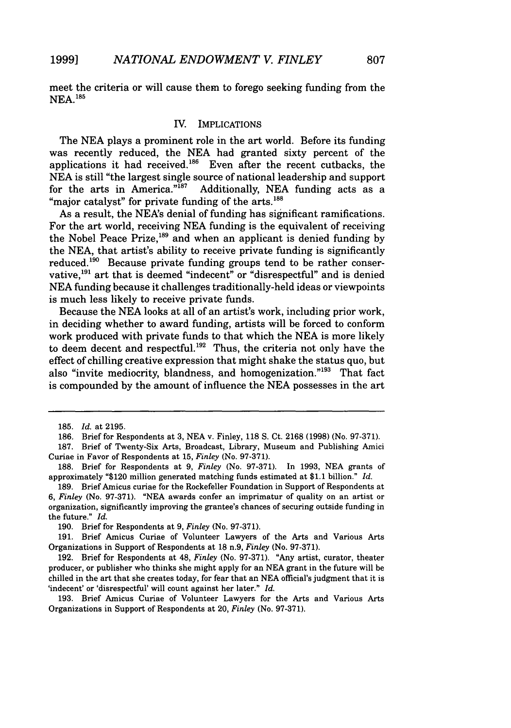meet the criteria or will cause them to forego seeking funding from the  $NEA.<sup>185</sup>$ 

#### IV. IMPLICATIONS

The NEA plays a prominent role in the art world. Before its funding was recently reduced, the NEA had granted sixty percent of the applications it had received. $186$  Even after the recent cutbacks, the NEA is still "the largest single source of national leadership and support for the arts in America."<sup>187</sup> Additionally, NEA funding acts as a "major catalyst" for private funding of the arts.<sup>188</sup>

As a result, the NEA's denial of funding has significant ramifications. For the art world, receiving NEA funding is the equivalent of receiving the Nobel Peace Prize,<sup>189</sup> and when an applicant is denied funding by the NEA, that artist's ability to receive private funding is significantly reduced.<sup>190</sup> Because private funding groups tend to be rather conservative,<sup>191</sup> art that is deemed "indecent" or "disrespectful" and is denied NEA funding because it challenges traditionally-held ideas or viewpoints is much less likely to receive private funds.

Because the NEA looks at all of an artist's work, including prior work, in deciding whether to award funding, artists will be forced to conform work produced with private funds to that which the NEA is more likely to deem decent and respectful.<sup>192</sup> Thus, the criteria not only have the effect of chilling creative expression that might shake the status quo, but also "invite mediocrity, blandness, and homogenization."<sup>193</sup> That fact is compounded by the amount of influence the NEA possesses in the art

<sup>185.</sup> *Id.* at 2195.

<sup>186.</sup> Brief for Respondents at 3, NEA v. Finley, 118 S. Ct. 2168 (1998) (No. 97-371).

<sup>187.</sup> Brief of Twenty-Six Arts, Broadcast, Library, Museum and Publishing Amici Curiae in Favor of Respondents at 15, *Finley* (No. 97-371).

<sup>188.</sup> Brief for Respondents at 9, *Finley* (No. 97-371). In 1993, NEA grants of approximately "\$120 million generated matching funds estimated at \$1.1 billion." *Id.*

<sup>189.</sup> Brief Amicus curiae for the Rockefeller Foundation in Support of Respondents at 6, *Finley* (No. 97-371). "NEA awards confer an imprimatur of quality on an artist or organization, significantly improving the grantee's chances of securing outside funding in the future." *Id.*

<sup>190.</sup> Brief for Respondents at 9, *Finley* (No. 97-371).

<sup>191.</sup> Brief Amicus Curiae of Volunteer Lawyers of the Arts and Various Arts Organizations in Support of Respondents at 18 n.9, *Finley* (No. 97-371).

<sup>192.</sup> Brief for Respondents at 48, *Finley* (No. 97-371). "Any artist, curator, theater producer, or publisher who thinks she might apply for an NEA grant in the future will be chilled in the art that she creates today, for fear that an NEA official's judgment that it is 'indecent' or 'disrespectful' will count against her later." *Id.*

<sup>193.</sup> Brief Amicus Curiae of Volunteer Lawyers for the Arts and Various Arts Organizations in Support of Respondents at 20, *Finley* (No. 97-371).